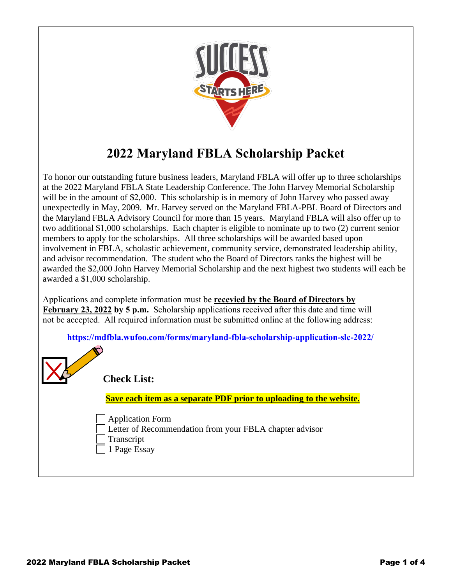

# **2022 Maryland FBLA Scholarship Packet**

To honor our outstanding future business leaders, Maryland FBLA will offer up to three scholarships at the 2022 Maryland FBLA State Leadership Conference. The John Harvey Memorial Scholarship will be in the amount of \$2,000. This scholarship is in memory of John Harvey who passed away unexpectedly in May, 2009. Mr. Harvey served on the Maryland FBLA-PBL Board of Directors and the Maryland FBLA Advisory Council for more than 15 years. Maryland FBLA will also offer up to two additional \$1,000 scholarships. Each chapter is eligible to nominate up to two (2) current senior members to apply for the scholarships. All three scholarships will be awarded based upon involvement in FBLA, scholastic achievement, community service, demonstrated leadership ability, and advisor recommendation. The student who the Board of Directors ranks the highest will be awarded the \$2,000 John Harvey Memorial Scholarship and the next highest two students will each be awarded a \$1,000 scholarship.

Applications and complete information must be **recevied by the Board of Directors by February 23, 2022 by 5 p.m.** Scholarship applications received after this date and time will not be accepted. All required information must be submitted online at the following address:

**[https://mdfbla.wufoo.com/forms/maryland-fbla-scholarship-application-slc-20](https://mdfbla.wufoo.com/forms/maryland-fbla-scholarship-application-slc-2022/)22/**

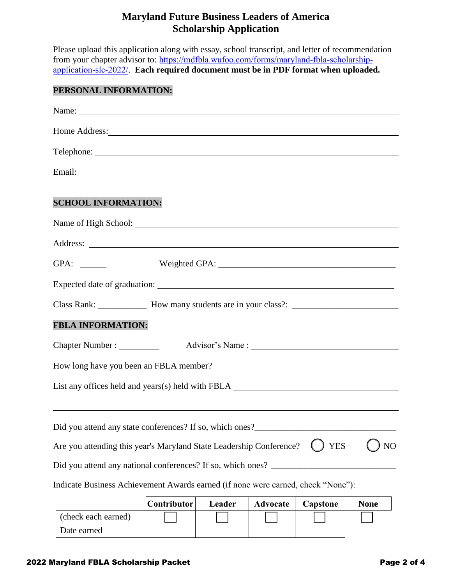### **Maryland Future Business Leaders of America Scholarship Application**

Please upload this application along with essay, school transcript, and letter of recommendation from your chapter advisor to: [https://mdfbla.wufoo.com/forms/maryland-fbla-scholarship](https://mdfbla.wufoo.com/forms/maryland-fbla-scholarship-application-slc-2022/)[application-slc-20](https://mdfbla.wufoo.com/forms/maryland-fbla-scholarship-application-slc-2022/)22/. **Each required document must be in PDF format when uploaded.**

#### **PERSONAL INFORMATION:**

| Home Address: New York Contract the Contract of the Contract of the Contract of the Contract of the Contract of the Contract of the Contract of the Contract of the Contract of the Contract of the Contract of the Contract o |             |        |                 |            |             |
|--------------------------------------------------------------------------------------------------------------------------------------------------------------------------------------------------------------------------------|-------------|--------|-----------------|------------|-------------|
|                                                                                                                                                                                                                                |             |        |                 |            |             |
|                                                                                                                                                                                                                                |             |        |                 |            |             |
| <b>SCHOOL INFORMATION:</b>                                                                                                                                                                                                     |             |        |                 |            |             |
|                                                                                                                                                                                                                                |             |        |                 |            |             |
|                                                                                                                                                                                                                                |             |        |                 |            |             |
|                                                                                                                                                                                                                                |             |        |                 |            |             |
|                                                                                                                                                                                                                                |             |        |                 |            |             |
|                                                                                                                                                                                                                                |             |        |                 |            |             |
| <b>FBLA INFORMATION:</b>                                                                                                                                                                                                       |             |        |                 |            |             |
| Chapter Number : ____________                                                                                                                                                                                                  |             |        |                 |            |             |
|                                                                                                                                                                                                                                |             |        |                 |            |             |
| List any offices held and years(s) held with FBLA _______________________________                                                                                                                                              |             |        |                 |            |             |
| Did you attend any state conferences? If so, which ones?<br><u>Letting</u><br>Are you attending this year's Maryland State Leadership Conference?                                                                              |             |        |                 | <b>YES</b> | NO          |
| Did you attend any national conferences? If so, which ones?                                                                                                                                                                    |             |        |                 |            |             |
| Indicate Business Achievement Awards earned (if none were earned, check "None"):                                                                                                                                               |             |        |                 |            |             |
| (check each earned)                                                                                                                                                                                                            | Contributor | Leader | <b>Advocate</b> | Capstone   | <b>None</b> |

Date earned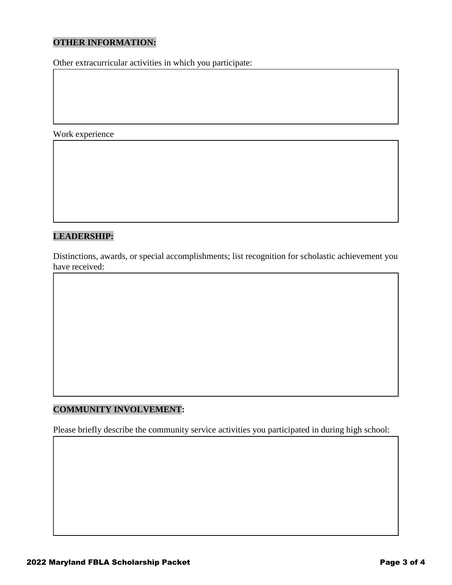#### **OTHER INFORMATION:**

Other extracurricular activities in which you participate:

Work experience

#### **LEADERSHIP:**

Distinctions, awards, or special accomplishments; list recognition for scholastic achievement you have received:

#### **COMMUNITY INVOLVEMENT:**

Please briefly describe the community service activities you participated in during high school: